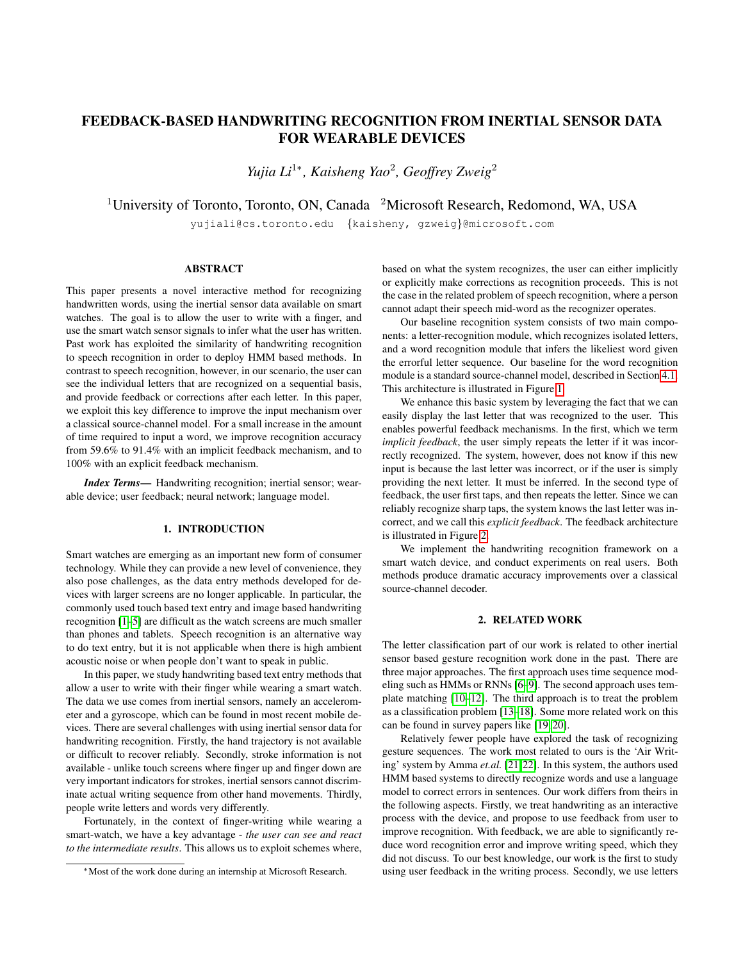# FEEDBACK-BASED HANDWRITING RECOGNITION FROM INERTIAL SENSOR DATA FOR WEARABLE DEVICES

*Yujia Li*<sup>1∗</sup>, *Kaisheng Yao<sup>2</sup>, Geoffrey Zweig*<sup>2</sup>

<sup>1</sup>University of Toronto, Toronto, ON, Canada <sup>2</sup>Microsoft Research, Redomond, WA, USA

yujiali@cs.toronto.edu {kaisheny, gzweig}@microsoft.com

## ABSTRACT

This paper presents a novel interactive method for recognizing handwritten words, using the inertial sensor data available on smart watches. The goal is to allow the user to write with a finger, and use the smart watch sensor signals to infer what the user has written. Past work has exploited the similarity of handwriting recognition to speech recognition in order to deploy HMM based methods. In contrast to speech recognition, however, in our scenario, the user can see the individual letters that are recognized on a sequential basis, and provide feedback or corrections after each letter. In this paper, we exploit this key difference to improve the input mechanism over a classical source-channel model. For a small increase in the amount of time required to input a word, we improve recognition accuracy from 59.6% to 91.4% with an implicit feedback mechanism, and to 100% with an explicit feedback mechanism.

*Index Terms*— Handwriting recognition; inertial sensor; wearable device; user feedback; neural network; language model.

# 1. INTRODUCTION

Smart watches are emerging as an important new form of consumer technology. While they can provide a new level of convenience, they also pose challenges, as the data entry methods developed for devices with larger screens are no longer applicable. In particular, the commonly used touch based text entry and image based handwriting recognition [\[1](#page-3-0)[–5\]](#page-4-0) are difficult as the watch screens are much smaller than phones and tablets. Speech recognition is an alternative way to do text entry, but it is not applicable when there is high ambient acoustic noise or when people don't want to speak in public.

In this paper, we study handwriting based text entry methods that allow a user to write with their finger while wearing a smart watch. The data we use comes from inertial sensors, namely an accelerometer and a gyroscope, which can be found in most recent mobile devices. There are several challenges with using inertial sensor data for handwriting recognition. Firstly, the hand trajectory is not available or difficult to recover reliably. Secondly, stroke information is not available - unlike touch screens where finger up and finger down are very important indicators for strokes, inertial sensors cannot discriminate actual writing sequence from other hand movements. Thirdly, people write letters and words very differently.

Fortunately, in the context of finger-writing while wearing a smart-watch, we have a key advantage - *the user can see and react to the intermediate results*. This allows us to exploit schemes where, based on what the system recognizes, the user can either implicitly or explicitly make corrections as recognition proceeds. This is not the case in the related problem of speech recognition, where a person cannot adapt their speech mid-word as the recognizer operates.

Our baseline recognition system consists of two main components: a letter-recognition module, which recognizes isolated letters, and a word recognition module that infers the likeliest word given the errorful letter sequence. Our baseline for the word recognition module is a standard source-channel model, described in Section [4.1.](#page-1-0) This architecture is illustrated in Figure [1.](#page-1-1)

We enhance this basic system by leveraging the fact that we can easily display the last letter that was recognized to the user. This enables powerful feedback mechanisms. In the first, which we term *implicit feedback*, the user simply repeats the letter if it was incorrectly recognized. The system, however, does not know if this new input is because the last letter was incorrect, or if the user is simply providing the next letter. It must be inferred. In the second type of feedback, the user first taps, and then repeats the letter. Since we can reliably recognize sharp taps, the system knows the last letter was incorrect, and we call this *explicit feedback*. The feedback architecture is illustrated in Figure [2.](#page-1-2)

We implement the handwriting recognition framework on a smart watch device, and conduct experiments on real users. Both methods produce dramatic accuracy improvements over a classical source-channel decoder.

# 2. RELATED WORK

The letter classification part of our work is related to other inertial sensor based gesture recognition work done in the past. There are three major approaches. The first approach uses time sequence modeling such as HMMs or RNNs [\[6](#page-4-1)[–9\]](#page-4-2). The second approach uses template matching [\[10](#page-4-3)[–12\]](#page-4-4). The third approach is to treat the problem as a classification problem [\[13–](#page-4-5)[18\]](#page-4-6). Some more related work on this can be found in survey papers like [\[19,](#page-4-7) [20\]](#page-4-8).

Relatively fewer people have explored the task of recognizing gesture sequences. The work most related to ours is the 'Air Writing' system by Amma *et.al.* [\[21,](#page-4-9)[22\]](#page-4-10). In this system, the authors used HMM based systems to directly recognize words and use a language model to correct errors in sentences. Our work differs from theirs in the following aspects. Firstly, we treat handwriting as an interactive process with the device, and propose to use feedback from user to improve recognition. With feedback, we are able to significantly reduce word recognition error and improve writing speed, which they did not discuss. To our best knowledge, our work is the first to study using user feedback in the writing process. Secondly, we use letters

<sup>∗</sup>Most of the work done during an internship at Microsoft Research.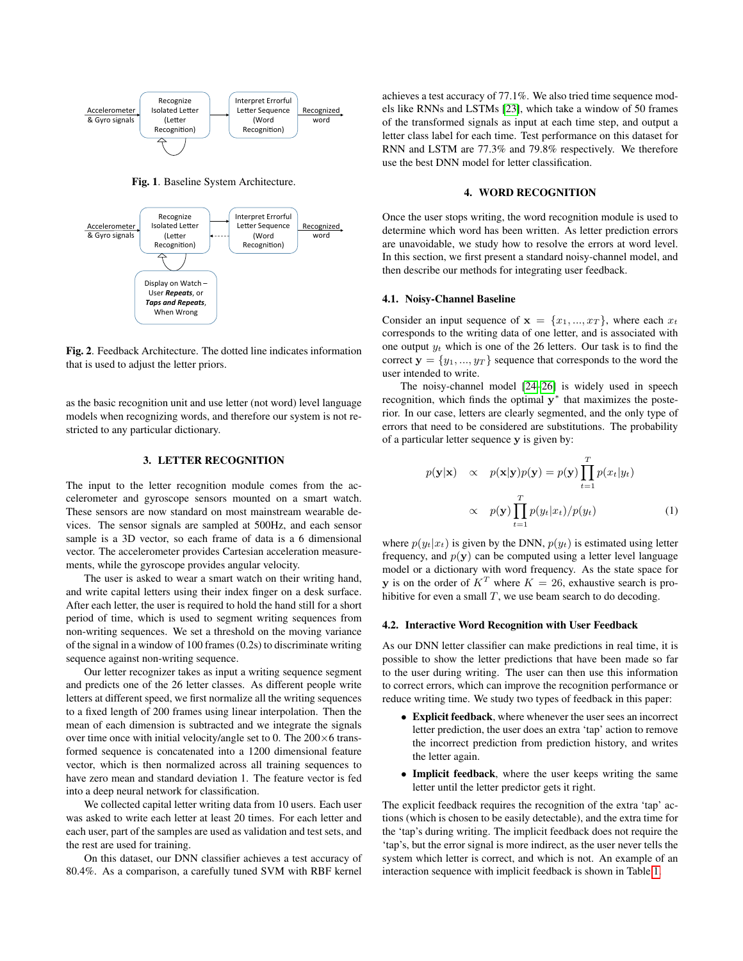

<span id="page-1-1"></span>Fig. 1. Baseline System Architecture.



<span id="page-1-2"></span>Fig. 2. Feedback Architecture. The dotted line indicates information that is used to adjust the letter priors.

as the basic recognition unit and use letter (not word) level language models when recognizing words, and therefore our system is not restricted to any particular dictionary.

## 3. LETTER RECOGNITION

The input to the letter recognition module comes from the accelerometer and gyroscope sensors mounted on a smart watch. These sensors are now standard on most mainstream wearable devices. The sensor signals are sampled at 500Hz, and each sensor sample is a 3D vector, so each frame of data is a 6 dimensional vector. The accelerometer provides Cartesian acceleration measurements, while the gyroscope provides angular velocity.

The user is asked to wear a smart watch on their writing hand, and write capital letters using their index finger on a desk surface. After each letter, the user is required to hold the hand still for a short period of time, which is used to segment writing sequences from non-writing sequences. We set a threshold on the moving variance of the signal in a window of 100 frames (0.2s) to discriminate writing sequence against non-writing sequence.

Our letter recognizer takes as input a writing sequence segment and predicts one of the 26 letter classes. As different people write letters at different speed, we first normalize all the writing sequences to a fixed length of 200 frames using linear interpolation. Then the mean of each dimension is subtracted and we integrate the signals over time once with initial velocity/angle set to 0. The  $200 \times 6$  transformed sequence is concatenated into a 1200 dimensional feature vector, which is then normalized across all training sequences to have zero mean and standard deviation 1. The feature vector is fed into a deep neural network for classification.

We collected capital letter writing data from 10 users. Each user was asked to write each letter at least 20 times. For each letter and each user, part of the samples are used as validation and test sets, and the rest are used for training.

On this dataset, our DNN classifier achieves a test accuracy of 80.4%. As a comparison, a carefully tuned SVM with RBF kernel

achieves a test accuracy of 77.1%. We also tried time sequence models like RNNs and LSTMs [\[23\]](#page-4-11), which take a window of 50 frames of the transformed signals as input at each time step, and output a letter class label for each time. Test performance on this dataset for RNN and LSTM are 77.3% and 79.8% respectively. We therefore use the best DNN model for letter classification.

## 4. WORD RECOGNITION

Once the user stops writing, the word recognition module is used to determine which word has been written. As letter prediction errors are unavoidable, we study how to resolve the errors at word level. In this section, we first present a standard noisy-channel model, and then describe our methods for integrating user feedback.

#### <span id="page-1-0"></span>4.1. Noisy-Channel Baseline

Consider an input sequence of  $\mathbf{x} = \{x_1, ..., x_T\}$ , where each  $x_t$ corresponds to the writing data of one letter, and is associated with one output  $y_t$  which is one of the 26 letters. Our task is to find the correct  $y = \{y_1, ..., y_T\}$  sequence that corresponds to the word the user intended to write.

The noisy-channel model [\[24–](#page-4-12)[26\]](#page-4-13) is widely used in speech recognition, which finds the optimal  $y^*$  that maximizes the posterior. In our case, letters are clearly segmented, and the only type of errors that need to be considered are substitutions. The probability of a particular letter sequence y is given by:

$$
p(\mathbf{y}|\mathbf{x}) \propto p(\mathbf{x}|\mathbf{y})p(\mathbf{y}) = p(\mathbf{y}) \prod_{t=1}^{T} p(x_t|y_t)
$$
  
 
$$
\propto p(\mathbf{y}) \prod_{t=1}^{T} p(y_t|x_t) / p(y_t)
$$
 (1)

where  $p(y_t|x_t)$  is given by the DNN,  $p(y_t)$  is estimated using letter frequency, and  $p(y)$  can be computed using a letter level language model or a dictionary with word frequency. As the state space for **v** is on the order of  $K^T$  where  $K = 26$ , exhaustive search is prohibitive for even a small  $T$ , we use beam search to do decoding.

#### 4.2. Interactive Word Recognition with User Feedback

As our DNN letter classifier can make predictions in real time, it is possible to show the letter predictions that have been made so far to the user during writing. The user can then use this information to correct errors, which can improve the recognition performance or reduce writing time. We study two types of feedback in this paper:

- Explicit feedback, where whenever the user sees an incorrect letter prediction, the user does an extra 'tap' action to remove the incorrect prediction from prediction history, and writes the letter again.
- Implicit feedback, where the user keeps writing the same letter until the letter predictor gets it right.

The explicit feedback requires the recognition of the extra 'tap' actions (which is chosen to be easily detectable), and the extra time for the 'tap's during writing. The implicit feedback does not require the 'tap's, but the error signal is more indirect, as the user never tells the system which letter is correct, and which is not. An example of an interaction sequence with implicit feedback is shown in Table [1.](#page-2-0)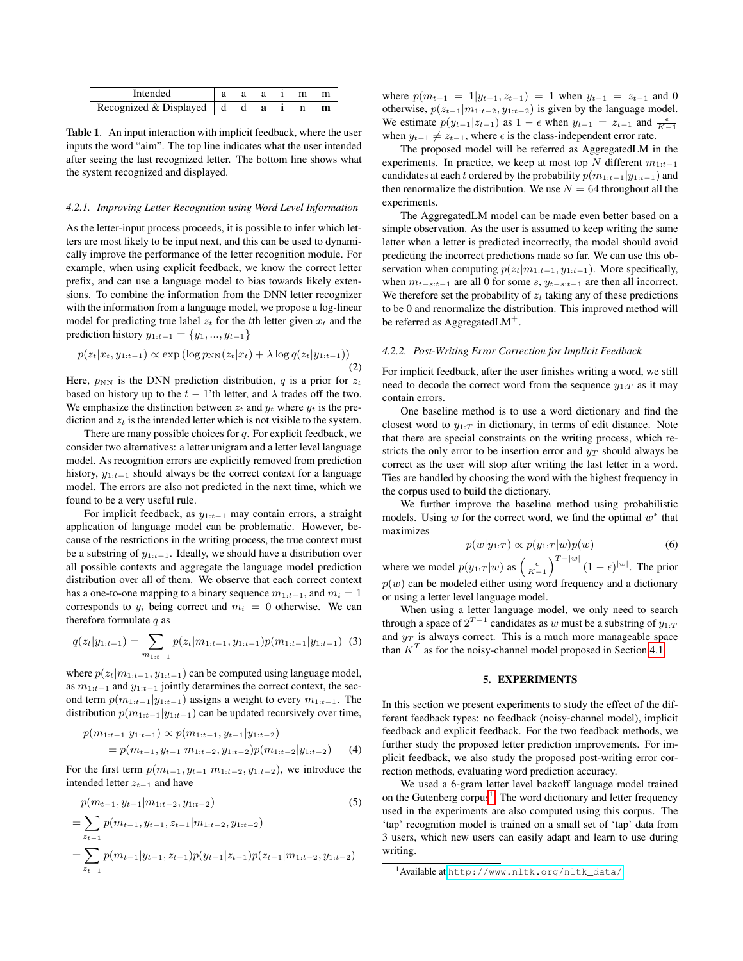<span id="page-2-0"></span>

| Intended                               |   |   | m |  |
|----------------------------------------|---|---|---|--|
| Recognized & Displayed $\vert d \vert$ | d | a |   |  |

Table 1. An input interaction with implicit feedback, where the user inputs the word "aim". The top line indicates what the user intended after seeing the last recognized letter. The bottom line shows what the system recognized and displayed.

#### <span id="page-2-2"></span>*4.2.1. Improving Letter Recognition using Word Level Information*

As the letter-input process proceeds, it is possible to infer which letters are most likely to be input next, and this can be used to dynamically improve the performance of the letter recognition module. For example, when using explicit feedback, we know the correct letter prefix, and can use a language model to bias towards likely extensions. To combine the information from the DNN letter recognizer with the information from a language model, we propose a log-linear model for predicting true label  $z_t$  for the tth letter given  $x_t$  and the prediction history  $y_{1:t-1} = \{y_1, ..., y_{t-1}\}$ 

$$
p(z_t|x_t, y_{1:t-1}) \propto \exp\left(\log p_{NN}(z_t|x_t) + \lambda \log q(z_t|y_{1:t-1})\right)
$$
\n(2)

Here,  $p_{NN}$  is the DNN prediction distribution, q is a prior for  $z_t$ based on history up to the  $t - 1$ 'th letter, and  $\lambda$  trades off the two. We emphasize the distinction between  $z_t$  and  $y_t$  where  $y_t$  is the prediction and  $z_t$  is the intended letter which is not visible to the system.

There are many possible choices for  $q$ . For explicit feedback, we consider two alternatives: a letter unigram and a letter level language model. As recognition errors are explicitly removed from prediction history, y1:t−<sup>1</sup> should always be the correct context for a language model. The errors are also not predicted in the next time, which we found to be a very useful rule.

For implicit feedback, as  $y_{1:t-1}$  may contain errors, a straight application of language model can be problematic. However, because of the restrictions in the writing process, the true context must be a substring of  $y_{1:t-1}$ . Ideally, we should have a distribution over all possible contexts and aggregate the language model prediction distribution over all of them. We observe that each correct context has a one-to-one mapping to a binary sequence  $m_{1:t-1}$ , and  $m_i = 1$ corresponds to  $y_i$  being correct and  $m_i = 0$  otherwise. We can therefore formulate  $q$  as

$$
q(z_t|y_{1:t-1}) = \sum_{m_{1:t-1}} p(z_t|m_{1:t-1}, y_{1:t-1})p(m_{1:t-1}|y_{1:t-1}) \tag{3}
$$

where  $p(z_t|m_{1:t-1}, y_{1:t-1})$  can be computed using language model, as  $m_{1:t-1}$  and  $y_{1:t-1}$  jointly determines the correct context, the second term  $p(m_{1:t-1}|y_{1:t-1})$  assigns a weight to every  $m_{1:t-1}$ . The distribution  $p(m_{1:t-1}|y_{1:t-1})$  can be updated recursively over time,

$$
p(m_{1:t-1}|y_{1:t-1}) \propto p(m_{1:t-1}, y_{t-1}|y_{1:t-2})
$$
  
=  $p(m_{t-1}, y_{t-1}|m_{1:t-2}, y_{1:t-2})p(m_{1:t-2}|y_{1:t-2})$  (4)

For the first term  $p(m_{t-1}, y_{t-1}|m_{1:t-2}, y_{1:t-2})$ , we introduce the intended letter  $z_{t-1}$  and have

$$
p(m_{t-1}, y_{t-1}|m_{1:t-2}, y_{1:t-2})
$$
\n
$$
= \sum_{z_{t-1}} p(m_{t-1}, y_{t-1}, z_{t-1}|m_{1:t-2}, y_{1:t-2})
$$
\n
$$
= \sum_{z_{t-1}} p(m_{t-1}|y_{t-1}, z_{t-1}) p(y_{t-1}|z_{t-1}) p(z_{t-1}|m_{1:t-2}, y_{1:t-2})
$$
\n(5)

where  $p(m_{t-1} = 1|y_{t-1}, z_{t-1}) = 1$  when  $y_{t-1} = z_{t-1}$  and 0 otherwise,  $p(z_{t-1}|m_{1:t-2}, y_{1:t-2})$  is given by the language model. We estimate  $p(y_{t-1} | z_{t-1})$  as  $1 - \epsilon$  when  $y_{t-1} = z_{t-1}$  and  $\frac{\epsilon}{K-1}$ when  $y_{t-1} \neq z_{t-1}$ , where  $\epsilon$  is the class-independent error rate.

The proposed model will be referred as AggregatedLM in the experiments. In practice, we keep at most top N different  $m_{1:t-1}$ candidates at each t ordered by the probability  $p(m_{1:t-1}|y_{1:t-1})$  and then renormalize the distribution. We use  $N = 64$  throughout all the experiments.

The AggregatedLM model can be made even better based on a simple observation. As the user is assumed to keep writing the same letter when a letter is predicted incorrectly, the model should avoid predicting the incorrect predictions made so far. We can use this observation when computing  $p(z_t|m_{1:t-1}, y_{1:t-1})$ . More specifically, when  $m_{t-s:t-1}$  are all 0 for some s,  $y_{t-s:t-1}$  are then all incorrect. We therefore set the probability of  $z_t$  taking any of these predictions to be 0 and renormalize the distribution. This improved method will be referred as AggregatedLM<sup>+</sup>.

# <span id="page-2-3"></span>*4.2.2. Post-Writing Error Correction for Implicit Feedback*

For implicit feedback, after the user finishes writing a word, we still need to decode the correct word from the sequence  $y_{1:T}$  as it may contain errors.

One baseline method is to use a word dictionary and find the closest word to  $y_{1:T}$  in dictionary, in terms of edit distance. Note that there are special constraints on the writing process, which restricts the only error to be insertion error and  $y_T$  should always be correct as the user will stop after writing the last letter in a word. Ties are handled by choosing the word with the highest frequency in the corpus used to build the dictionary.

We further improve the baseline method using probabilistic models. Using  $w$  for the correct word, we find the optimal  $w^*$  that maximizes

$$
p(w|y_{1:T}) \propto p(y_{1:T}|w)p(w) \tag{6}
$$

where we model  $p(y_{1:T}|w)$  as  $\left(\frac{\epsilon}{K-1}\right)^{T-|w|} (1-\epsilon)^{|w|}$ . The prior  $p(w)$  can be modeled either using word frequency and a dictionary or using a letter level language model.

When using a letter language model, we only need to search through a space of  $2^{T-1}$  candidates as w must be a substring of  $y_{1:T}$ and  $y_T$  is always correct. This is a much more manageable space than  $K^T$  as for the noisy-channel model proposed in Section [4.1.](#page-1-0)

## 5. EXPERIMENTS

In this section we present experiments to study the effect of the different feedback types: no feedback (noisy-channel model), implicit feedback and explicit feedback. For the two feedback methods, we further study the proposed letter prediction improvements. For implicit feedback, we also study the proposed post-writing error correction methods, evaluating word prediction accuracy.

We used a 6-gram letter level backoff language model trained on the Gutenberg corpus<sup>[1](#page-2-1)</sup>. The word dictionary and letter frequency used in the experiments are also computed using this corpus. The 'tap' recognition model is trained on a small set of 'tap' data from 3 users, which new users can easily adapt and learn to use during writing.

<span id="page-2-1"></span><sup>1</sup>Available at [http://www.nltk.org/nltk\\_data/](http://www.nltk.org/nltk_data/)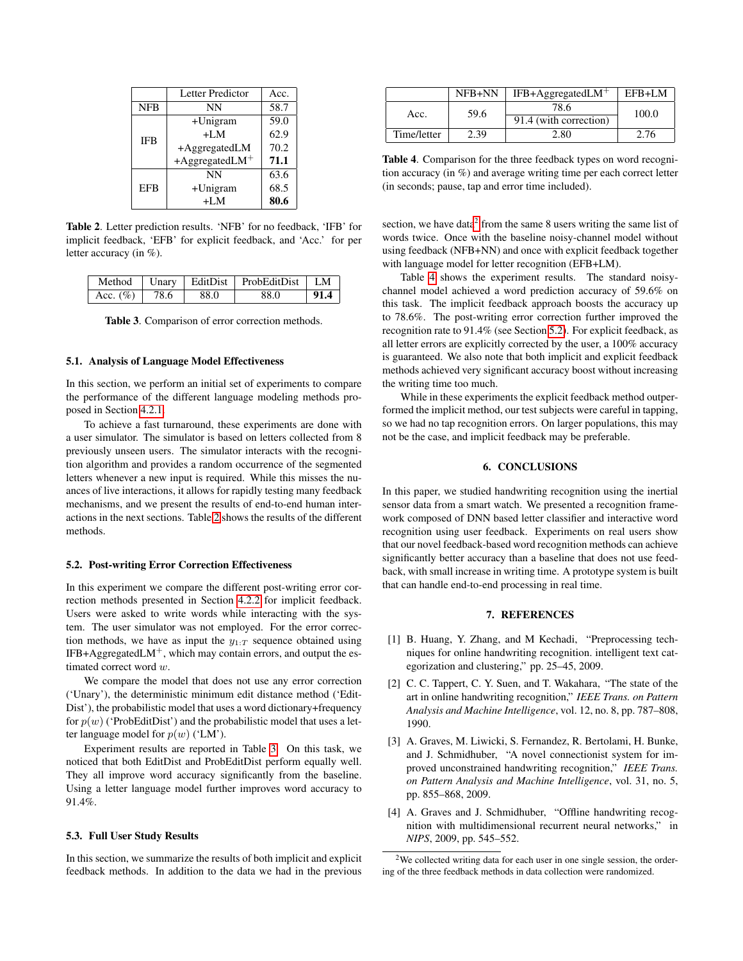|            | Letter Predictor              | Acc. |
|------------|-------------------------------|------|
| <b>NFB</b> | NΝ                            | 58.7 |
| <b>IFB</b> | $+$ Unigram                   | 59.0 |
|            | $+LM$                         | 62.9 |
|            | $+A$ ggregatedLM              | 70.2 |
|            | $+A$ ggregatedLM <sup>+</sup> | 71.1 |
| <b>EFB</b> | <b>NN</b>                     | 63.6 |
|            | +Unigram                      | 68.5 |
|            | +LM                           | 80.6 |

<span id="page-3-1"></span>Table 2. Letter prediction results. 'NFB' for no feedback, 'IFB' for implicit feedback, 'EFB' for explicit feedback, and 'Acc.' for per letter accuracy (in %).

| Method       |      |      | Unary   EditDist   ProbEditDist   LM |      |
|--------------|------|------|--------------------------------------|------|
| Acc. $(\% )$ | 78.6 | 88.0 | 88.0                                 | 91.4 |

<span id="page-3-2"></span>Table 3. Comparison of error correction methods.

#### 5.1. Analysis of Language Model Effectiveness

In this section, we perform an initial set of experiments to compare the performance of the different language modeling methods proposed in Section [4.2.1.](#page-2-2)

To achieve a fast turnaround, these experiments are done with a user simulator. The simulator is based on letters collected from 8 previously unseen users. The simulator interacts with the recognition algorithm and provides a random occurrence of the segmented letters whenever a new input is required. While this misses the nuances of live interactions, it allows for rapidly testing many feedback mechanisms, and we present the results of end-to-end human interactions in the next sections. Table [2](#page-3-1) shows the results of the different methods.

#### <span id="page-3-5"></span>5.2. Post-writing Error Correction Effectiveness

In this experiment we compare the different post-writing error correction methods presented in Section [4.2.2](#page-2-3) for implicit feedback. Users were asked to write words while interacting with the system. The user simulator was not employed. For the error correction methods, we have as input the  $y_{1:T}$  sequence obtained using  $IFB+AggregatedLM<sup>+</sup>, which may contain errors, and output the es$ timated correct word w.

We compare the model that does not use any error correction ('Unary'), the deterministic minimum edit distance method ('Edit-Dist'), the probabilistic model that uses a word dictionary+frequency for  $p(w)$  ('ProbEditDist') and the probabilistic model that uses a letter language model for  $p(w)$  ('LM').

Experiment results are reported in Table [3.](#page-3-2) On this task, we noticed that both EditDist and ProbEditDist perform equally well. They all improve word accuracy significantly from the baseline. Using a letter language model further improves word accuracy to 91.4%.

#### 5.3. Full User Study Results

In this section, we summarize the results of both implicit and explicit feedback methods. In addition to the data we had in the previous

|             | NFB+NN | $IFB+AggregatedLM+$    | EFB+LM |  |
|-------------|--------|------------------------|--------|--|
| Acc.        | 59.6   | 78.6                   | 100.0  |  |
|             |        | 91.4 (with correction) |        |  |
| Time/letter | 2.39   | 2.80                   | 2.76   |  |

<span id="page-3-4"></span>Table 4. Comparison for the three feedback types on word recognition accuracy (in %) and average writing time per each correct letter (in seconds; pause, tap and error time included).

section, we have data<sup>[2](#page-3-3)</sup> from the same 8 users writing the same list of words twice. Once with the baseline noisy-channel model without using feedback (NFB+NN) and once with explicit feedback together with language model for letter recognition (EFB+LM).

Table [4](#page-3-4) shows the experiment results. The standard noisychannel model achieved a word prediction accuracy of 59.6% on this task. The implicit feedback approach boosts the accuracy up to 78.6%. The post-writing error correction further improved the recognition rate to 91.4% (see Section [5.2\)](#page-3-5). For explicit feedback, as all letter errors are explicitly corrected by the user, a 100% accuracy is guaranteed. We also note that both implicit and explicit feedback methods achieved very significant accuracy boost without increasing the writing time too much.

While in these experiments the explicit feedback method outperformed the implicit method, our test subjects were careful in tapping, so we had no tap recognition errors. On larger populations, this may not be the case, and implicit feedback may be preferable.

## 6. CONCLUSIONS

In this paper, we studied handwriting recognition using the inertial sensor data from a smart watch. We presented a recognition framework composed of DNN based letter classifier and interactive word recognition using user feedback. Experiments on real users show that our novel feedback-based word recognition methods can achieve significantly better accuracy than a baseline that does not use feedback, with small increase in writing time. A prototype system is built that can handle end-to-end processing in real time.

# 7. REFERENCES

- <span id="page-3-0"></span>[1] B. Huang, Y. Zhang, and M Kechadi, "Preprocessing techniques for online handwriting recognition. intelligent text categorization and clustering," pp. 25–45, 2009.
- [2] C. C. Tappert, C. Y. Suen, and T. Wakahara, "The state of the art in online handwriting recognition," *IEEE Trans. on Pattern Analysis and Machine Intelligence*, vol. 12, no. 8, pp. 787–808, 1990.
- [3] A. Graves, M. Liwicki, S. Fernandez, R. Bertolami, H. Bunke, and J. Schmidhuber, "A novel connectionist system for improved unconstrained handwriting recognition," *IEEE Trans. on Pattern Analysis and Machine Intelligence*, vol. 31, no. 5, pp. 855–868, 2009.
- [4] A. Graves and J. Schmidhuber, "Offline handwriting recognition with multidimensional recurrent neural networks," in *NIPS*, 2009, pp. 545–552.

<span id="page-3-3"></span><sup>2</sup>We collected writing data for each user in one single session, the ordering of the three feedback methods in data collection were randomized.